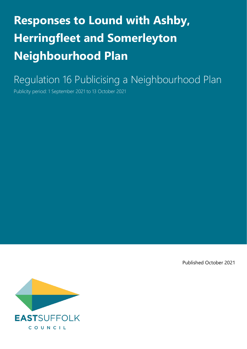# **Responses to Lound with Ashby, Herringfleet and Somerleyton Neighbourhood Plan**

Regulation 16 Publicising a Neighbourhood Plan

Publicity period: 1 September 2021 to 13 October 2021

Published October 2021

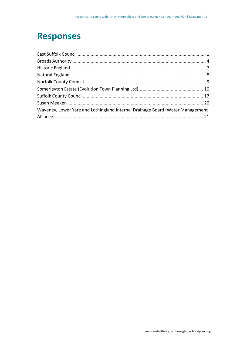### **Responses**

| Waveney, Lower Yare and Lothingland Internal Drainage Board (Water Management |  |
|-------------------------------------------------------------------------------|--|
|                                                                               |  |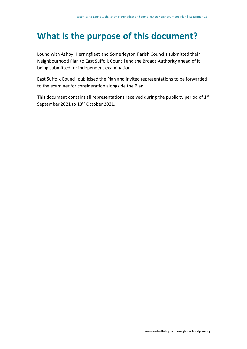### **What is the purpose of this document?**

Lound with Ashby, Herringfleet and Somerleyton Parish Councils submitted their Neighbourhood Plan to East Suffolk Council and the Broads Authority ahead of it being submitted for independent examination.

East Suffolk Council publicised the Plan and invited representations to be forwarded to the examiner for consideration alongside the Plan.

This document contains all representations received during the publicity period of  $1<sup>st</sup>$ September 2021 to 13<sup>th</sup> October 2021.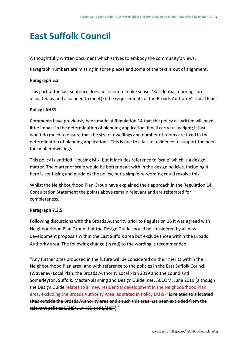### <span id="page-3-0"></span>**East Suffolk Council**

A thoughtfully written document which strives to embody the community's views.

Paragraph numbers are missing in some places and some of the text is out of alignment.

### **Paragraph 5.3**

This part of the last sentence does not seem to make sense: 'Residential moorings are allocated by and also need to meet(?) the requirements of the Broads Authority's Local Plan'

### **Policy LAHS1**

Comments have previously been made at Regulation 14 that the policy as written will have little impact in the determination of planning application. It will carry full weight; it just won't do much to ensure that the size of dwellings and number of rooms are fixed in the determination of planning applications. This is due to a lack of evidence to support the need for smaller dwellings.

This policy is entitled 'Housing Mix' but it includes reference to 'scale' which is a design matter. The matter of scale would be better dealt with in the design policies. Including it here is confusing and muddles the policy, but a simple re-wording could resolve this.

Whilst the Neighbourhood Plan Group have explained their approach in the Regulation 14 Consultation Statement the points above remain relevant and are reiterated for completeness.

### **Paragraph 7.3.5**

Following discussions with the Broads Authority prior to Regulation 16 it was agreed with Neighbourhood Plan Group that the Design Guide should be considered by all new development proposals within the East Suffolk area but exclude those within the Broads Authority area. The following change (in red) to the wording is recommended.

"Any further sites proposed in the future will be considered on their merits within the Neighbourhood Plan area, and with reference to the policies in the East Suffolk Council (Waveney) Local Plan, the Broads Authority Local Plan 2019 and the Lound and Somerleyton, Suffolk, Master-planning and Design Guidelines, AECOM, June 2019 (although the Design Guide relates to all new residential development in the Neighbourhood Plan area, excluding the Broads Authority Area, as stated in Policy LAHS 4 is related to allocated sites outside the Broads Authority area and s such this area has been excluded from the relevant policies LAHS4, LAHS5 and LAHS7)."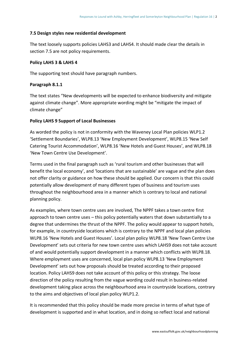### **7.5 Design styles new residential development**

The text loosely supports policies LAHS3 and LAHS4. It should made clear the details in section 7.5 are not policy requirements.

### **Policy LAHS 3 & LAHS 4**

The supporting text should have paragraph numbers.

### **Paragraph 8.1.1**

The text states "New developments will be expected to enhance biodiversity and mitigate against climate change". More appropriate wording might be "mitigate the impact of climate change"

#### **Policy LAHS 9 Support of Local Businesses**

As worded the policy is not in conformity with the Waveney Local Plan policies WLP1.2 'Settlement Boundaries', WLP8.13 'New Employment Development', WLP8.15 'New Self Catering Tourist Accommodation', WLP8.16 'New Hotels and Guest Houses', and WLP8.18 'New Town Centre Use Development'.

Terms used in the final paragraph such as 'rural tourism and other businesses that will benefit the local economy', and 'locations that are sustainable' are vague and the plan does not offer clarity or guidance on how these should be applied. Our concern is that this could potentially allow development of many different types of business and tourism uses throughout the neighbourhood area in a manner which is contrary to local and national planning policy.

As examples, where town centre uses are involved, The NPPF takes a town centre first approach to town centre uses – this policy potentially waters that down substantially to a degree that undermines the thrust of the NPPF. The policy would appear to support hotels, for example, in countryside locations which is contrary to the NPPF and local plan policies WLP8.16 'New Hotels and Guest Houses'. Local plan policy WLP8.18 'New Town Centre Use Development' sets out criteria for new town centre uses which LAHS9 does not take account of and would potentially support development in a manner which conflicts with WLP8.18. Where employment uses are concerned, local plan policy WLP8.13 'New Employment Development' sets out how proposals should be treated according to their proposed location. Policy LAHS9 does not take account of this policy or this strategy. The loose direction of the policy resulting from the vague wording could result in business-related development taking place across the neighbourhood area in countryside locations, contrary to the aims and objectives of local plan policy WLP1.2.

It is recommended that this policy should be made more precise in terms of what type of development is supported and in what location, and in doing so reflect local and national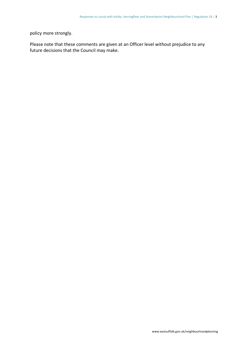policy more strongly.

Please note that these comments are given at an Officer level without prejudice to any future decisions that the Council may make.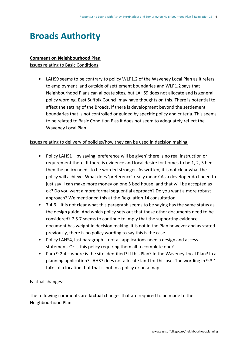### <span id="page-6-0"></span>**Broads Authority**

#### **Comment on Neighbourhood Plan**

Issues relating to Basic Conditions

• LAHS9 seems to be contrary to policy WLP1.2 of the Waveney Local Plan as it refers to employment land outside of settlement boundaries and WLP1.2 says that Neighbourhood Plans can allocate sites, but LAHS9 does not allocate and is general policy wording. East Suffolk Council may have thoughts on this. There is potential to affect the setting of the Broads, if there is development beyond the settlement boundaries that is not controlled or guided by specific policy and criteria. This seems to be related to Basic Condition E as it does not seem to adequately reflect the Waveney Local Plan.

#### Issues relating to delivery of policies/how they can be used in decision making

- Policy LAHS1 by saying 'preference will be given' there is no real instruction or requirement there. If there is evidence and local desire for homes to be 1, 2, 3 bed then the policy needs to be worded stronger. As written, it is not clear what the policy will achieve. What does 'preference' really mean? As a developer do I need to just say 'I can make more money on one 5 bed house' and that will be accepted as ok? Do you want a more formal sequential approach? Do you want a more robust approach? We mentioned this at the Regulation 14 consultation.
- 7.4.6 it is not clear what this paragraph seems to be saying has the same status as the design guide. And which policy sets out that these other documents need to be considered? 7.5.7 seems to continue to imply that the supporting evidence document has weight in decision making. It is not in the Plan however and as stated previously, there is no policy wording to say this is the case.
- Policy LAHS4, last paragraph not all applications need a design and access statement. Or is this policy requiring them all to complete one?
- Para 9.2.4 where is the site identified? If this Plan? In the Waveney Local Plan? In a planning application? LAHS7 does not allocate land for this use. The wording in 9.3.1 talks of a location, but that is not in a policy or on a map.

#### Factual changes:

The following comments are **factual** changes that are required to be made to the Neighbourhood Plan.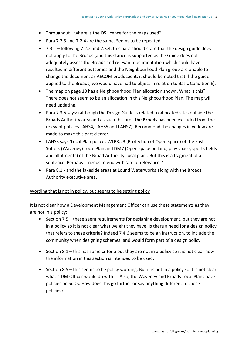- Throughout where is the OS licence for the maps used?
- Para 7.2.3 and 7.2.4 are the same. Seems to be repeated.
- 7.3.1 following 7.2.2 and 7.3.4, this para should state that the design guide does not apply to the Broads (and this stance is supported as the Guide does not adequately assess the Broads and relevant documentation which could have resulted in different outcomes and the Neighbourhood Plan group are unable to change the document as AECOM produced it; it should be noted that if the guide applied to the Broads, we would have had to object in relation to Basic Condition E).
- The map on page 10 has a Neighbourhood Plan allocation shown. What is this? There does not seem to be an allocation in this Neighbourhood Plan. The map will need updating.
- Para 7.3.5 says: (although the Design Guide is related to allocated sites outside the Broads Authority area and **a**s such this area **the Broads** has been excluded from the relevant policies LAHS4, LAHS5 and LAHS7). Recommend the changes in yellow are made to make this part clearer.
- LAHS3 says 'Local Plan polices WLP8.23 (Protection of Open Space) of the East Suffolk (Waveney) Local Plan and DM7 (Open space on land, play space, sports fields and allotments) of the Broad Authority Local plan'. But this is a fragment of a sentence. Perhaps it needs to end with 'are of relevance'?
- Para 8.1 and the lakeside areas at Lound Waterworks **a**long with the Broads Authority executive area.

### Wording that is not in policy, but seems to be setting policy

It is not clear how a Development Management Officer can use these statements as they are not in a policy:

- Section 7.5 these seem requirements for designing development, but they are not in a policy so it is not clear what weight they have. Is there a need for a design policy that refers to these criteria? Indeed 7.4.6 seems to be an instruction, to include the community when designing schemes, and would form part of a design policy.
- Section 8.1 this has some criteria but they are not in a policy so it is not clear how the information in this section is intended to be used.
- Section 8.5 this seems to be policy wording. But it is not in a policy so it is not clear what a DM Officer would do with it. Also, the Waveney and Broads Local Plans have policies on SuDS. How does this go further or say anything different to those policies?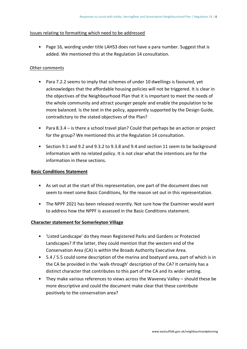### Issues relating to formatting which need to be addressed

• Page 16, wording under title LAHS3 does not have a para number. Suggest that is added. We mentioned this at the Regulation 14 consultation.

#### Other comments

- Para 7.2.2 seems to imply that schemes of under 10 dwellings is favoured, yet acknowledges that the affordable housing policies will not be triggered. It is clear in the objectives of the Neighbourhood Plan that it is important to meet the needs of the whole community and attract younger people and enable the population to be more balanced. Is the text in the policy, apparently supported by the Design Guide, contradictory to the stated objectives of the Plan?
- Para 8.3.4 is there a school travel plan? Could that perhaps be an action or project for the group? We mentioned this at the Regulation 14 consultation.
- Section 9.1 and 9.2 and 9.3.2 to 9.3.8 and 9.4 and section 11 seem to be background information with no related policy. It is not clear what the intentions are for the information in these sections.

#### **Basic Conditions Statement**

- As set out at the start of this representation, one part of the document does not seem to meet some Basic Conditions, for the reason set out in this representation.
- The NPPF 2021 has been released recently. Not sure how the Examiner would want to address how the NPPF is assessed in the Basic Conditions statement.

### **Character statement for Somerleyton Village**

- 'Listed Landscape' do they mean Registered Parks and Gardens or Protected Landscapes? If the latter, they could mention that the western end of the Conservation Area (CA) is within the Broads Authority Executive Area.
- 5.4 / 5.5 could some description of the marina and boatyard area, part of which is in the CA be provided in the 'walk-through' description of the CA? It certainly has a distinct character that contributes to this part of the CA and its wider setting.
- They make various references to views across the Waveney Valley should these be more descriptive and could the document make clear that these contribute positively to the conservation area?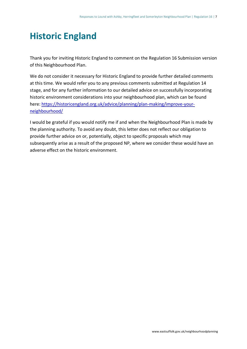### <span id="page-9-0"></span>**Historic England**

Thank you for inviting Historic England to comment on the Regulation 16 Submission version of this Neighbourhood Plan.

We do not consider it necessary for Historic England to provide further detailed comments at this time. We would refer you to any previous comments submitted at Regulation 14 stage, and for any further information to our detailed advice on successfully incorporating historic environment considerations into your neighbourhood plan, which can be found here: [https://historicengland.org.uk/advice/planning/plan-making/improve-your](https://historicengland.org.uk/advice/planning/plan-making/improve-your-neighbourhood/)[neighbourhood/](https://historicengland.org.uk/advice/planning/plan-making/improve-your-neighbourhood/)

I would be grateful if you would notify me if and when the Neighbourhood Plan is made by the planning authority. To avoid any doubt, this letter does not reflect our obligation to provide further advice on or, potentially, object to specific proposals which may subsequently arise as a result of the proposed NP, where we consider these would have an adverse effect on the historic environment.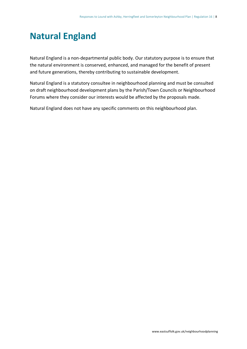### <span id="page-10-0"></span>**Natural England**

Natural England is a non-departmental public body. Our statutory purpose is to ensure that the natural environment is conserved, enhanced, and managed for the benefit of present and future generations, thereby contributing to sustainable development.

Natural England is a statutory consultee in neighbourhood planning and must be consulted on draft neighbourhood development plans by the Parish/Town Councils or Neighbourhood Forums where they consider our interests would be affected by the proposals made.

Natural England does not have any specific comments on this neighbourhood plan.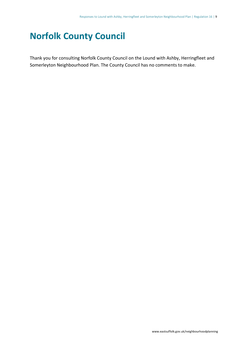### <span id="page-11-0"></span>**Norfolk County Council**

Thank you for consulting Norfolk County Council on the Lound with Ashby, Herringfleet and Somerleyton Neighbourhood Plan. The County Council has no comments to make.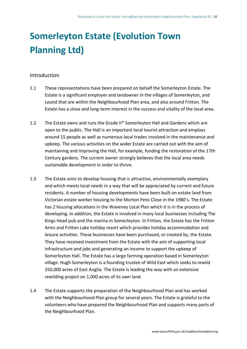## <span id="page-12-0"></span>**Somerleyton Estate (Evolution Town Planning Ltd)**

### **Introduction**

- 1.1 These representations have been prepared on behalf the Somerleyton Estate. The Estate is a significant employer and landowner in the villages of Somerleyton, and Lound that are within the Neighbourhood Plan area, and also around Fritton. The Estate has a close and long-term interest in the success and vitality of the local area.
- 1.2 The Estate owns and runs the Grade II\* Somerleyton Hall and Gardens which are open to the public. The Hall is an important local tourist attraction and employs around 15 people as well as numerous local trades involved in the maintenance and upkeep. The various activities on the wider Estate are carried out with the aim of maintaining and improving the Hall, for example, funding the restoration of the 17th Century gardens. The current owner strongly believes that the local area needs sustainable development in order to thrive.
- 1.3 The Estate aims to develop housing that is attractive, environmentally exemplary and which meets local needs in a way that will be appreciated by current and future residents. A number of housing developments have been built on estate land from Victorian estate worker housing to the Morton Peto Close in the 1980's. The Estate has 2 housing allocations in the Waveney Local Plan which it is in the process of developing. In addition, the Estate is involved in many local businesses including The Kings Head pub and the marina in Somerleyton. In Fritton, the Estate has the Fritton Arms and Fritton Lake holiday resort which provides holiday accommodation and leisure activities. These businesses have been purchased, or created by, the Estate. They have received investment from the Estate with the aim of supporting local infrastructure and jobs and generating an income to support the upkeep of Somerleyton Hall. The Estate has a large farming operation based in Somerleyton village. Hugh Somerleyton is a founding trustee of Wild East which seeks to rewild 250,000 acres of East Anglia. The Estate is leading the way with an extensive rewilding project on 1,000 acres of its own land.
- 1.4 The Estate supports the preparation of the Neighbourhood Plan and has worked with the Neighbourhood Plan group for several years. The Estate is grateful to the volunteers who have prepared the Neighbourhood Plan and supports many parts of the Neighbourhood Plan.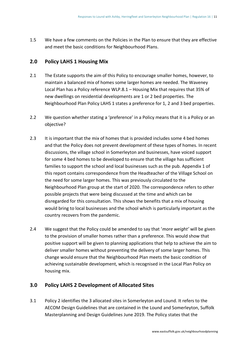1.5 We have a few comments on the Policies in the Plan to ensure that they are effective and meet the basic conditions for Neighbourhood Plans.

### **2.0 Policy LAHS 1 Housing Mix**

- 2.1 The Estate supports the aim of this Policy to encourage smaller homes, however, to maintain a balanced mix of homes some larger homes are needed. The Waveney Local Plan has a Policy reference WLP.8.1 – Housing Mix that requires that 35% of new dwellings on residential developments are 1 or 2 bed properties. The Neighbourhood Plan Policy LAHS 1 states a preference for 1, 2 and 3 bed properties.
- 2.2 We question whether stating a 'preference' in a Policy means that it is a Policy or an objective?
- 2.3 It is important that the mix of homes that is provided includes some 4 bed homes and that the Policy does not prevent development of these types of homes. In recent discussions, the village school in Somerleyton and businesses, have voiced support for some 4 bed homes to be developed to ensure that the village has sufficient families to support the school and local businesses such as the pub. Appendix 1 of this report contains correspondence from the Headteacher of the Village School on the need for some larger homes. This was previously circulated to the Neighbourhood Plan group at the start of 2020. The correspondence refers to other possible projects that were being discussed at the time and which can be disregarded for this consultation. This shows the benefits that a mix of housing would bring to local businesses and the school which is particularly important as the country recovers from the pandemic.
- 2.4 We suggest that the Policy could be amended to say that '*more weight'* will be given to the provision of smaller homes rather than a preference. This would show that positive support will be given to planning applications that help to achieve the aim to deliver smaller homes without preventing the delivery of some larger homes. This change would ensure that the Neighbourhood Plan meets the basic condition of achieving sustainable development, which is recognised in the Local Plan Policy on housing mix.

### **3.0 Policy LAHS 2 Development of Allocated Sites**

3.1 Policy 2 identifies the 3 allocated sites in Somerleyton and Lound. It refers to the AECOM Design Guidelines that are contained in the Lound and Somerleyton, Suffolk Masterplanning and Design Guidelines June 2019. The Policy states that the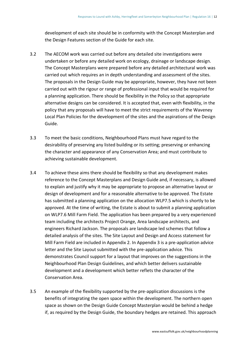development of each site should be in conformity with the Concept Masterplan and the Design Features section of the Guide for each site.

- 3.2 The AECOM work was carried out before any detailed site investigations were undertaken or before any detailed work on ecology, drainage or landscape design. The Concept Masterplans were prepared before any detailed architectural work was carried out which requires an in depth understanding and assessment of the sites. The proposals in the Design Guide may be appropriate, however, they have not been carried out with the rigour or range of professional input that would be required for a planning application. There should be flexibility in the Policy so that appropriate alternative designs can be considered. It is accepted that, even with flexibility, in the policy that any proposals will have to meet the strict requirements of the Waveney Local Plan Policies for the development of the sites and the aspirations of the Design Guide.
- 3.3 To meet the basic conditions, Neighbourhood Plans must have regard to the desirability of preserving any listed building or its setting; preserving or enhancing the character and appearance of any Conservation Area; and must contribute to achieving sustainable development.
- 3.4 To achieve these aims there should be flexibility so that any development makes reference to the Concept Masterplans and Design Guide and, if necessary, is allowed to explain and justify why it may be appropriate to propose an alternative layout or design of development and for a reasonable alternative to be approved. The Estate has submitted a planning application on the allocation WLP7.5 which is shortly to be approved. At the time of writing, the Estate is about to submit a planning application on WLP7.6 Mill Farm Field. The application has been prepared by a very experienced team including the architects Project Orange, Area landscape architects, and engineers Richard Jackson. The proposals are landscape led schemes that follow a detailed analysis of the sites. The Site Layout and Design and Access statement for Mill Farm Field are included in Appendix 2. In Appendix 3 is a pre-application advice letter and the Site Layout submitted with the pre-application advice. This demonstrates Council support for a layout that improves on the suggestions in the Neighbourhood Plan Design Guidelines, and which better delivers sustainable development and a development which better reflets the character of the Conservation Area.
- 3.5 An example of the flexibility supported by the pre-application discussions is the benefits of integrating the open space within the development. The northern open space as shown on the Design Guide Concept Masterplan would be behind a hedge if, as required by the Design Guide, the boundary hedges are retained. This approach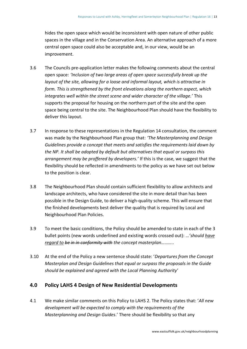hides the open space which would be inconsistent with open nature of other public spaces in the village and in the Conservation Area. An alternative approach of a more central open space could also be acceptable and, in our view, would be an improvement.

- 3.6 The Councils pre-application letter makes the following comments about the central open space: *'Inclusion of two large areas of open space successfully break up the layout of the site, allowing for a loose and informal layout, which is attractive in form. This is strengthened by the front elevations along the northern aspect, which integrates well within the street scene and wider character of the village.'* This supports the proposal for housing on the northern part of the site and the open space being central to the site. The Neighbourhood Plan should have the flexibility to deliver this layout.
- 3.7 In response to these representations in the Regulation 14 consultation, the comment was made by the Neighbourhood Plan group that: *'The Masterplanning and Design Guidelines provide a concept that meets and satisfies the requirements laid down by the NP. It shall be adopted by default but alternatives that equal or surpass this arrangement may be proffered by developers.'* If this is the case, we suggest that the flexibility should be reflected in amendments to the policy as we have set out below to the position is clear.
- 3.8 The Neighbourhood Plan should contain sufficient flexibility to allow architects and landscape architects, who have considered the site in more detail than has been possible in the Design Guide, to deliver a high-quality scheme. This will ensure that the finished developments best deliver the quality that is required by Local and Neighbourhood Plan Policies.
- 3.9 To meet the basic conditions, the Policy should be amended to state in each of the 3 bullet points (new words underlined and existing words crossed out): …*'should have regard to be in in conformity with the concept masterplan………..*
- 3.10 At the end of the Policy a new sentence should state: '*Departures from the Concept Masterplan and Design Guidelines that equal or surpass the proposals in the Guide should be explained and agreed with the Local Planning Authority*'

### **4.0 Policy LAHS 4 Design of New Residential Developments**

4.1 We make similar comments on this Policy to LAHS 2. The Policy states that: '*All new development will be expected to comply with the requirements of the Masterplanning and Design Guides*.' There should be flexibility so that any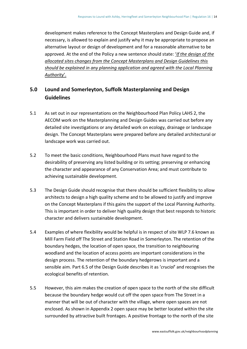development makes reference to the Concept Masterplans and Design Guide and, if necessary, is allowed to explain and justify why it may be appropriate to propose an alternative layout or design of development and for a reasonable alternative to be approved. At the end of the Policy a new sentence should state: '*If the design of the allocated sites changes from the Concept Masterplans and Design Guidelines this should be explained in any planning application and agreed with the Local Planning Authority*'.

### **5.0 Lound and Somerleyton, Suffolk Masterplanning and Design Guidelines**

- 5.1 As set out in our representations on the Neighbourhood Plan Policy LAHS 2, the AECOM work on the Masterplanning and Design Guides was carried out before any detailed site investigations or any detailed work on ecology, drainage or landscape design. The Concept Masterplans were prepared before any detailed architectural or landscape work was carried out.
- 5.2 To meet the basic conditions, Neighbourhood Plans must have regard to the desirability of preserving any listed building or its setting; preserving or enhancing the character and appearance of any Conservation Area; and must contribute to achieving sustainable development.
- 5.3 The Design Guide should recognise that there should be sufficient flexibility to allow architects to design a high quality scheme and to be allowed to justify and improve on the Concept Masterplans if this gains the support of the Local Planning Authority. This is important in order to deliver high quality design that best responds to historic character and delivers sustainable development.
- 5.4 Examples of where flexibility would be helpful is in respect of site WLP 7.6 known as Mill Farm Field off The Street and Station Road in Somerleyton. The retention of the boundary hedges, the location of open space, the transition to neighbouring woodland and the location of access points are important considerations in the design process. The retention of the boundary hedgerows is important and a sensible aim. Part 6.5 of the Design Guide describes it as '*crucial*' and recognises the ecological benefits of retention.
- 5.5 However, this aim makes the creation of open space to the north of the site difficult because the boundary hedge would cut off the open space from The Street in a manner that will be out of character with the village, where open spaces are not enclosed. As shown in Appendix 2 open space may be better located within the site surrounded by attractive built frontages. A positive frontage to the north of the site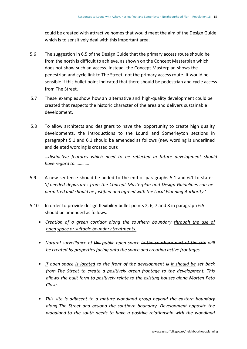could be created with attractive homes that would meet the aim of the Design Guide which is to sensitively deal with this important area.

- 5.6 The suggestion in 6.5 of the Design Guide that the primary access route should be from the north is difficult to achieve, as shown on the Concept Masterplan which does not show such an access. Instead, the Concept Masterplan shows the pedestrian and cycle link to The Street, not the primary access route. It would be sensible if this bullet point indicated that there should be pedestrian and cycle access from The Street.
- 5.7 These examples show how an alternative and high-quality development could be created that respects the historic character of the area and delivers sustainable development.
- 5.8 To allow architects and designers to have the opportunity to create high quality developments, the introductions to the Lound and Somerleyton sections in paragraphs 5.1 and 6.1 should be amended as follows (new wording is underlined and deleted wording is crossed out):

…*distinctive features which need to be reflected in future development should have regard to………….*

- 5.9 A new sentence should be added to the end of paragraphs 5.1 and 6.1 to state: '*If needed departures from the Concept Masterplan and Design Guidelines can be permitted and should be justified and agreed with the Local Planning Authority.'*
- 5.10 In order to provide design flexibility bullet points 2, 6, 7 and 8 in paragraph 6.5 should be amended as follows.
	- *Creation of a green corridor along the southern boundary through the use of open space or suitable boundary treatments.*
	- *Natural surveillance of the public open space in the southern part of the site will be created by properties facing onto the space and creating active frontages.*
	- *If open space is located to the front of the development is it should be set back from The Street to create a positively green frontage to the development. This allows the built form to positively relate to the existing houses along Morten Peto Close.*
	- *This site is adjacent to a mature woodland group beyond the eastern boundary along The Street and beyond the southern boundary. Development opposite the woodland to the south needs to have a positive relationship with the woodland*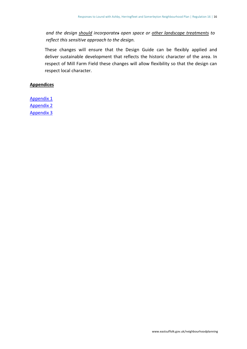*and the design should incorporates open space or other landscape treatments to reflect this sensitive approach to the design.*

These changes will ensure that the Design Guide can be flexibly applied and deliver sustainable development that reflects the historic character of the area. In respect of Mill Farm Field these changes will allow flexibility so that the design can respect local character.

### **Appendices**

[Appendix 1](https://eastsuffolk.inconsult.uk/gf2.ti/af/1316226/424480/PDF/-/Somerleyton%20Estate%20_Evolution%20Town%20Planning%20Ltd_%20-%20Appendix%201%20_Redacted_.pdf) [Appendix 2](https://eastsuffolk.inconsult.uk/gf2.ti/af/1316226/424488/PDF/-/Somerleyton%20Estate%20_Evolution%20Town%20Planning%20Ltd_%20-%20Appendix%202.pdf) [Appendix 3](https://eastsuffolk.inconsult.uk/gf2.ti/af/1316226/424489/PDF/-/Somerleyton%20Estate%20_Evolution%20Town%20Planning%20Ltd_%20-%20Appendix%203.pdf)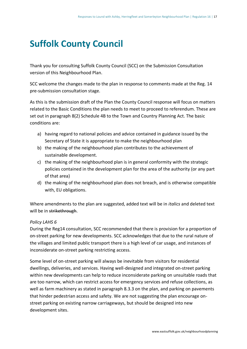### <span id="page-19-0"></span>**Suffolk County Council**

Thank you for consulting Suffolk County Council (SCC) on the Submission Consultation version of this Neighbourhood Plan.

SCC welcome the changes made to the plan in response to comments made at the Reg. 14 pre-submission consultation stage.

As this is the submission draft of the Plan the County Council response will focus on matters related to the Basic Conditions the plan needs to meet to proceed to referendum. These are set out in paragraph 8(2) Schedule 4B to the Town and Country Planning Act. The basic conditions are:

- a) having regard to national policies and advice contained in guidance issued by the Secretary of State it is appropriate to make the neighbourhood plan
- b) the making of the neighbourhood plan contributes to the achievement of sustainable development.
- c) the making of the neighbourhood plan is in general conformity with the strategic policies contained in the development plan for the area of the authority (or any part of that area)
- d) the making of the neighbourhood plan does not breach, and is otherwise compatible with, EU obligations.

Where amendments to the plan are suggested, added text will be in *italics* and deleted text will be in strikethrough.

### *Policy LAHS 6*

During the Reg14 consultation, SCC recommended that there is provision for a proportion of on-street parking for new developments. SCC acknowledges that due to the rural nature of the villages and limited public transport there is a high level of car usage, and instances of inconsiderate on-street parking restricting access.

Some level of on-street parking will always be inevitable from visitors for residential dwellings, deliveries, and services. Having well-designed and integrated on-street parking within new developments can help to reduce inconsiderate parking on unsuitable roads that are too narrow, which can restrict access for emergency services and refuse collections, as well as farm machinery as stated in paragraph 8.3.3 on the plan, and parking on pavements that hinder pedestrian access and safety. We are not suggesting the plan encourage onstreet parking on existing narrow carriageways, but should be designed into new development sites.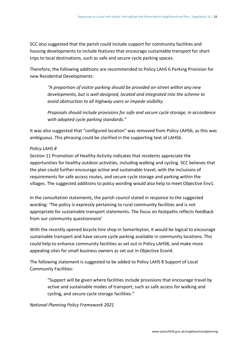SCC also suggested that the parish could include support for community facilities and housing developments to include features that encourage sustainable transport for short trips to local destinations, such as safe and secure cycle parking spaces.

Therefore, the following additions are recommended to Policy LAHS 6 Parking Provision for new Residential Developments:

*"A proportion of visitor parking should be provided on-street within any new developments, but is well-designed, located and integrated into the scheme to avoid obstruction to all highway users or impede visibility.*

*Proposals should include provisions for safe and secure cycle storage, in accordance with adopted cycle parking standards."*

It was also suggested that "configured location" was removed from Policy LAHS6, as this was ambiguous. This phrasing could be clarified in the supporting text of LAHS6.

### *Policy LAHS 8*

Section 11 Promotion of Healthy Activity indicates that residents appreciate the opportunities for healthy outdoor activities, including walking and cycling. SCC believes that the plan could further encourage active and sustainable travel, with the inclusions of requirements for safe access routes, and secure cycle storage and parking within the villages. The suggested additions to policy wording would also help to meet Objective Env1.

In the consultation statements, the parish council stated in response to the suggested wording: 'The policy is expressly pertaining to rural community facilities and is not appropriate for sustainable transport statements. The focus on footpaths reflects feedback from our community questionnaire'

With the recently opened bicycle hire shop in Somerleyton, it would be logical to encourage sustainable transport and have secure cycle parking available in community locations. This could help to enhance community facilities as set out in Policy LAHS8, and make more appealing sites for small business owners as set out in Objective Econ4.

The following statement is suggested to be added to Policy LAHS 8 Support of Local Community Facilities:

> "Support will be given where facilities include provisions that encourage travel by active and sustainable modes of transport, such as safe access for walking and cycling, and secure cycle storage facilities."

### *National Planning Policy Framework 2021*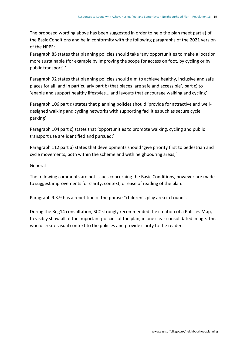The proposed wording above has been suggested in order to help the plan meet part a) of the Basic Conditions and be in conformity with the following paragraphs of the 2021 version of the NPPF:

Paragraph 85 states that planning policies should take 'any opportunities to make a location more sustainable (for example by improving the scope for access on foot, by cycling or by public transport).'

Paragraph 92 states that planning policies should aim to achieve healthy, inclusive and safe places for all, and in particularly part b) that places 'are safe and accessible', part c) to 'enable and support healthy lifestyles... and layouts that encourage walking and cycling'

Paragraph 106 part d) states that planning policies should 'provide for attractive and welldesigned walking and cycling networks with supporting facilities such as secure cycle parking'

Paragraph 104 part c) states that 'opportunities to promote walking, cycling and public transport use are identified and pursued;'

Paragraph 112 part a) states that developments should 'give priority first to pedestrian and cycle movements, both within the scheme and with neighbouring areas;'

### General

The following comments are not issues concerning the Basic Conditions, however are made to suggest improvements for clarity, context, or ease of reading of the plan.

Paragraph 9.3.9 has a repetition of the phrase "children's play area in Lound".

During the Reg14 consultation, SCC strongly recommended the creation of a Policies Map, to visibly show all of the important policies of the plan, in one clear consolidated image. This would create visual context to the policies and provide clarity to the reader.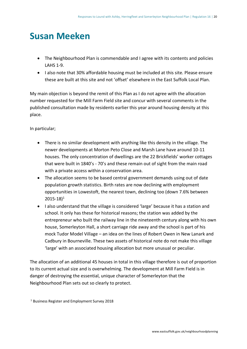### <span id="page-22-0"></span>**Susan Meeken**

- The Neighbourhood Plan is commendable and I agree with its contents and policies LAHS 1-9.
- I also note that 30% affordable housing must be included at this site. Please ensure these are built at this site and not 'offset' elsewhere in the East Suffolk Local Plan.

My main objection is beyond the remit of this Plan as I do not agree with the allocation number requested for the Mill Farm Field site and concur with several comments in the published consultation made by residents earlier this year around housing density at this place.

In particular;

- There is no similar development with anything like this density in the village. The newer developments at Morton Peto Close and Marsh Lane have around 10-11 houses. The only concentration of dwellings are the 22 Brickfields' worker cottages that were built in 1840's - 70's and these remain out of sight from the main road with a private access within a conservation area.
- The allocation seems to be based central government demands using out of date population growth statistics. Birth rates are now declining with employment opportunities in Lowestoft, the nearest town, declining too (down 7.6% between  $2015 - 18$ <sup>1</sup>
- I also understand that the village is considered 'large' because it has a station and school. It only has these for historical reasons; the station was added by the entrepreneur who built the railway line in the nineteenth century along with his own house, Somerleyton Hall, a short carriage ride away and the school is part of his mock Tudor Model Village – an idea on the lines of Robert Owen in New Lanark and Cadbury in Bourneville. These two assets of historical note do not make this village 'large' with an associated housing allocation but more unusual or peculiar.

The allocation of an additional 45 houses in total in this village therefore is out of proportion to its current actual size and is overwhelming. The development at Mill Farm Field is in danger of destroying the essential, unique character of Somerleyton that the Neighbourhood Plan sets out so clearly to protect.

<sup>1</sup> Business Register and Employment Survey 2018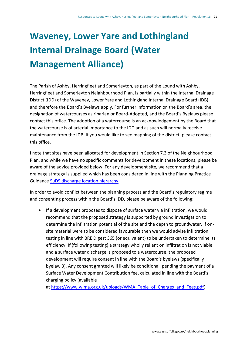# <span id="page-23-0"></span>**Waveney, Lower Yare and Lothingland Internal Drainage Board (Water Management Alliance)**

The Parish of Ashby, Herringfleet and Somerleyton, as part of the Lound with Ashby, Herringfleet and Somerleyton Neighbourhood Plan, is partially within the Internal Drainage District (IDD) of the Waveney, Lower Yare and Lothingland Internal Drainage Board (IDB) and therefore the Board's Byelaws apply. For further information on the Board's area, the designation of watercourses as riparian or Board-Adopted, and the Board's Byelaws please contact this office. The adoption of a watercourse is an acknowledgement by the Board that the watercourse is of arterial importance to the IDD and as such will normally receive maintenance from the IDB. If you would like to see mapping of the district, please contact this office.

I note that sites have been allocated for development in Section 7.3 of the Neighbourhood Plan, and while we have no specific comments for development in these locations, please be aware of the advice provided below. For any development site, we recommend that a drainage strategy is supplied which has been considered in line with the Planning Practice Guidance [SuDS discharge location hierarchy.](https://www.gov.uk/guidance/flood-risk-and-coastal-change)

In order to avoid conflict between the planning process and the Board's regulatory regime and consenting process within the Board's IDD, please be aware of the following:

• If a development proposes to dispose of surface water via infiltration, we would recommend that the proposed strategy is supported by ground investigation to determine the infiltration potential of the site and the depth to groundwater. If onsite material were to be considered favourable then we would advise infiltration testing in line with BRE Digest 365 (or equivalent) to be undertaken to determine its efficiency. If (following testing) a strategy wholly reliant on infiltration is not viable and a surface water discharge is proposed to a watercourse, the proposed development will require consent in line with the Board's byelaws (specifically byelaw 3). Any consent granted will likely be conditional, pending the payment of a Surface Water Development Contribution fee, calculated in line with the Board's charging policy (available

at [https://www.wlma.org.uk/uploads/WMA\\_Table\\_of\\_Charges\\_and\\_Fees.pdf\)](https://www.wlma.org.uk/uploads/WMA_Table_of_Charges_and_Fees.pdf).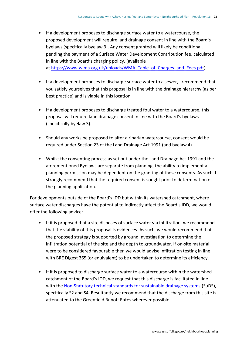- If a development proposes to discharge surface water to a watercourse, the proposed development will require land drainage consent in line with the Board's byelaws (specifically byelaw 3). Any consent granted will likely be conditional, pending the payment of a Surface Water Development Contribution fee, calculated in line with the Board's charging policy. (available at [https://www.wlma.org.uk/uploads/WMA\\_Table\\_of\\_Charges\\_and\\_Fees.pdf\)](https://www.wlma.org.uk/uploads/WMA_Table_of_Charges_and_Fees.pdf).
- If a development proposes to discharge surface water to a sewer, I recommend that you satisfy yourselves that this proposal is in line with the drainage hierarchy (as per best practice) and is viable in this location.
- If a development proposes to discharge treated foul water to a watercourse, this proposal will require land drainage consent in line with the Board's byelaws (specifically byelaw 3).
- Should any works be proposed to alter a riparian watercourse, consent would be required under Section 23 of the Land Drainage Act 1991 (and byelaw 4).
- Whilst the consenting process as set out under the Land Drainage Act 1991 and the aforementioned Byelaws are separate from planning, the ability to implement a planning permission may be dependent on the granting of these consents. As such, I strongly recommend that the required consent is sought prior to determination of the planning application.

For developments outside of the Board's IDD but within its watershed catchment, where surface water discharges have the potential to indirectly affect the Board's IDD, we would offer the following advice:

- If it is proposed that a site disposes of surface water via infiltration, we recommend that the viability of this proposal is evidences. As such, we would recommend that the proposed strategy is supported by ground investigation to determine the infiltration potential of the site and the depth to groundwater. If on-site material were to be considered favourable then we would advise infiltration testing in line with BRE Digest 365 (or equivalent) to be undertaken to determine its efficiency.
- If it is proposed to discharge surface water to a watercourse within the watershed catchment of the Board's IDD, we request that this discharge is facilitated in line with the [Non-Statutory technical standards for sustainable drainage systems](https://assets.publishing.service.gov.uk/government/uploads/system/uploads/attachment_data/file/415773/sustainable-drainage-technical-standards.pdf) (SuDS), specifically S2 and S4. Resultantly we recommend that the discharge from this site is attenuated to the Greenfield Runoff Rates wherever possible.